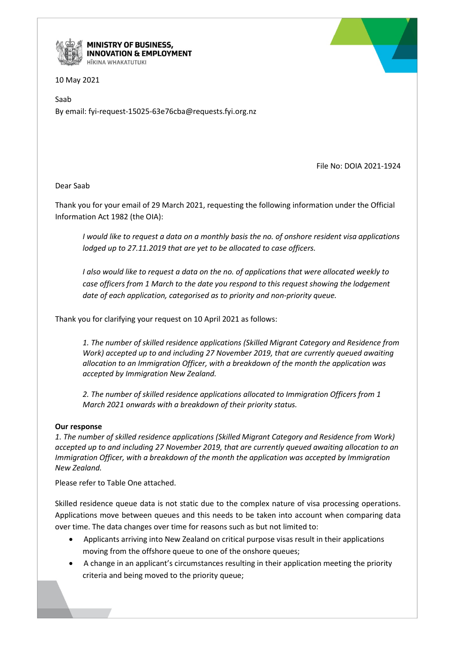

**MINISTRY OF BUSINESS, INNOVATION & EMPLOYMENT** HĪKINA WHAKATUTUKI

10 May 2021

Saab By email: fyi-request-15025-63e76cba@requests.fyi.org.nz

File No: DOIA 2021-1924

Dear Saab

Thank you for your email of 29 March 2021, requesting the following information under the Official Information Act 1982 (the OIA):

*I would like to request a data on a monthly basis the no. of onshore resident visa applications lodged up to 27.11.2019 that are yet to be allocated to case officers.* 

*I also would like to request a data on the no. of applications that were allocated weekly to case officers from 1 March to the date you respond to this request showing the lodgement date of each application, categorised as to priority and non-priority queue.*

Thank you for clarifying your request on 10 April 2021 as follows:

*1. The number of skilled residence applications (Skilled Migrant Category and Residence from Work) accepted up to and including 27 November 2019, that are currently queued awaiting allocation to an Immigration Officer, with a breakdown of the month the application was accepted by Immigration New Zealand.*

*2. The number of skilled residence applications allocated to Immigration Officers from 1 March 2021 onwards with a breakdown of their priority status.*

## **Our response**

*1. The number of skilled residence applications (Skilled Migrant Category and Residence from Work) accepted up to and including 27 November 2019, that are currently queued awaiting allocation to an Immigration Officer, with a breakdown of the month the application was accepted by Immigration New Zealand.*

Please refer to Table One attached.

Skilled residence queue data is not static due to the complex nature of visa processing operations. Applications move between queues and this needs to be taken into account when comparing data over time. The data changes over time for reasons such as but not limited to:

- Applicants arriving into New Zealand on critical purpose visas result in their applications moving from the offshore queue to one of the onshore queues;
- A change in an applicant's circumstances resulting in their application meeting the priority criteria and being moved to the priority queue;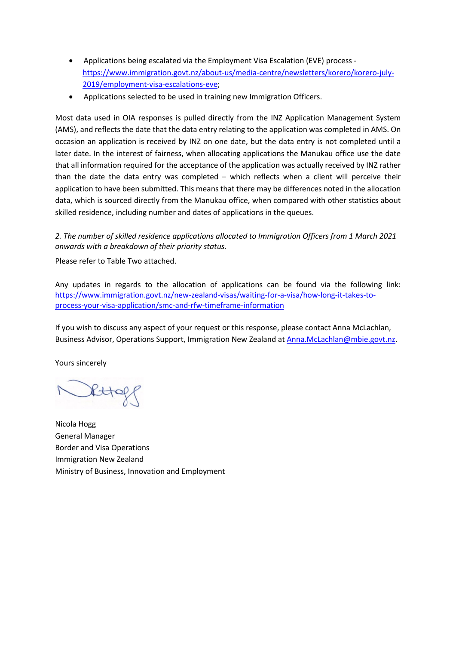- Applications being escalated via the Employment Visa Escalation (EVE) process [https://www.immigration.govt.nz/about-us/media-centre/newsletters/korero/korero-july-](https://www.immigration.govt.nz/about-us/media-centre/newsletters/korero/korero-july-2019/employment-visa-escalations-eve)[2019/employment-visa-escalations-eve;](https://www.immigration.govt.nz/about-us/media-centre/newsletters/korero/korero-july-2019/employment-visa-escalations-eve)
- Applications selected to be used in training new Immigration Officers.

Most data used in OIA responses is pulled directly from the INZ Application Management System (AMS), and reflects the date that the data entry relating to the application was completed in AMS. On occasion an application is received by INZ on one date, but the data entry is not completed until a later date. In the interest of fairness, when allocating applications the Manukau office use the date that all information required for the acceptance of the application was actually received by INZ rather than the date the data entry was completed – which reflects when a client will perceive their application to have been submitted. This means that there may be differences noted in the allocation data, which is sourced directly from the Manukau office, when compared with other statistics about skilled residence, including number and dates of applications in the queues.

## *2. The number of skilled residence applications allocated to Immigration Officers from 1 March 2021 onwards with a breakdown of their priority status.*

Please refer to Table Two attached.

Any updates in regards to the allocation of applications can be found via the following link: [https://www.immigration.govt.nz/new-zealand-visas/waiting-for-a-visa/how-long-it-takes-to](https://www.immigration.govt.nz/new-zealand-visas/waiting-for-a-visa/how-long-it-takes-to-process-your-visa-application/smc-and-rfw-timeframe-information)[process-your-visa-application/smc-and-rfw-timeframe-information](https://www.immigration.govt.nz/new-zealand-visas/waiting-for-a-visa/how-long-it-takes-to-process-your-visa-application/smc-and-rfw-timeframe-information)

If you wish to discuss any aspect of your request or this response, please contact Anna McLachlan, Business Advisor, Operations Support, Immigration New Zealand a[t Anna.McLachlan@mbie.govt.nz.](mailto:xxxx.xxxxxxxxx@xxxx.xxxx.xx)

Yours sincerely

 $R+10$ 

Nicola Hogg General Manager Border and Visa Operations Immigration New Zealand Ministry of Business, Innovation and Employment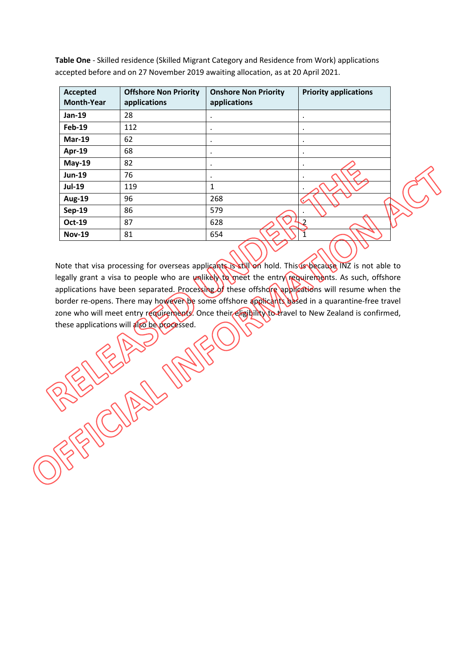| Accepted<br><b>Month-Year</b> | <b>Offshore Non Priority</b><br>applications | <b>Onshore Non Priority</b><br>applications | <b>Priority applications</b> |
|-------------------------------|----------------------------------------------|---------------------------------------------|------------------------------|
| <b>Jan-19</b>                 | 28                                           | $\bullet$                                   | $\bullet$                    |
| <b>Feb-19</b>                 | 112                                          | $\bullet$                                   | $\bullet$                    |
| Mar-19                        | 62                                           | $\bullet$                                   | $\bullet$                    |
| Apr-19                        | 68                                           | $\bullet$                                   | $\bullet$                    |
| <b>May-19</b>                 | 82                                           | $\bullet$                                   | $\bullet$                    |
| <b>Jun-19</b>                 | 76                                           | $\bullet$                                   | $\bullet$                    |
| <b>Jul-19</b>                 | 119                                          | 1                                           | ٠                            |
| <b>Aug-19</b>                 | 96                                           | 268                                         | $\sim$                       |
| <b>Sep-19</b>                 | 86                                           | 579                                         | $\cdot$                      |
| <b>Oct-19</b>                 | 87                                           | 628                                         |                              |
| <b>Nov-19</b>                 | 81                                           | 654                                         |                              |

**Table One** - Skilled residence (Skilled Migrant Category and Residence from Work) applications accepted before and on 27 November 2019 awaiting allocation, as at 20 April 2021.

Note that visa processing for overseas applicants is still on hold. This us because INZ is not able to legally grant a visa to people who are unlikely to meet the entry requirements. As such, offshore applications have been separated. Processing of these offshore applications will resume when the border re-opens. There may however be some offshore applicants based in a quarantine-free travel zone who will meet entry requirements. Once their eligibility to travel to New Zealand is confirmed, these applications will also be processed.